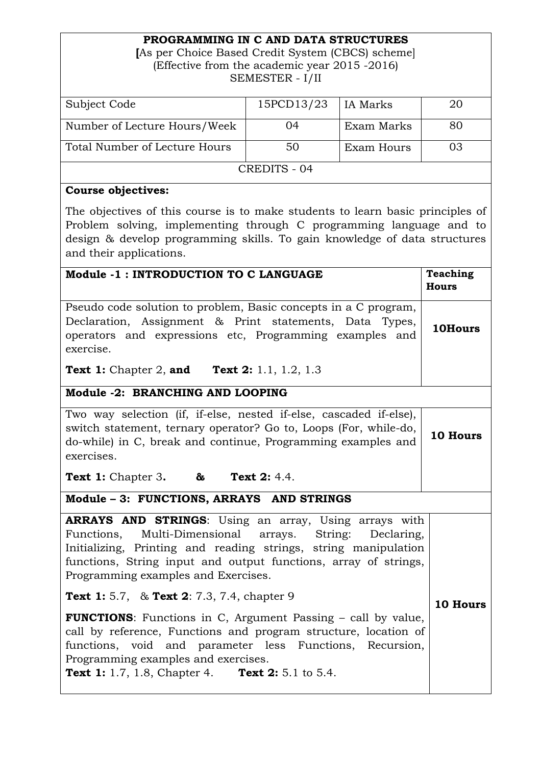## **PROGRAMMING IN C AND DATA STRUCTURES**

**[**As per Choice Based Credit System (CBCS) scheme] (Effective from the academic year 2015 -2016) SEMESTER - I/II

| Subject Code                  | 15PCD13/23 | IA Marks   | 20 |  |
|-------------------------------|------------|------------|----|--|
|                               |            |            |    |  |
| Number of Lecture Hours/Week  | 04         | Exam Marks | 80 |  |
|                               |            |            |    |  |
| Total Number of Lecture Hours | 50         | Exam Hours | 03 |  |
|                               |            |            |    |  |
| CREDITS - 04                  |            |            |    |  |
|                               |            |            |    |  |

## **Course objectives:**

The objectives of this course is to make students to learn basic principles of Problem solving, implementing through C programming language and to design & develop programming skills. To gain knowledge of data structures and their applications.

| Module -1 : INTRODUCTION TO C LANGUAGE                                                                                                                                                                                                                                                                                                                                                                                                                                                                                                                                                                           | <b>Teaching</b><br><b>Hours</b> |  |  |
|------------------------------------------------------------------------------------------------------------------------------------------------------------------------------------------------------------------------------------------------------------------------------------------------------------------------------------------------------------------------------------------------------------------------------------------------------------------------------------------------------------------------------------------------------------------------------------------------------------------|---------------------------------|--|--|
| Pseudo code solution to problem, Basic concepts in a C program,<br>Declaration, Assignment & Print statements, Data Types,<br>operators and expressions etc, Programming examples and<br>exercise.                                                                                                                                                                                                                                                                                                                                                                                                               | 10Hours                         |  |  |
| <b>Text 1:</b> Chapter 2, <b>and Text 2:</b> 1.1, 1.2, 1.3                                                                                                                                                                                                                                                                                                                                                                                                                                                                                                                                                       |                                 |  |  |
| Module -2: BRANCHING AND LOOPING                                                                                                                                                                                                                                                                                                                                                                                                                                                                                                                                                                                 |                                 |  |  |
| Two way selection (if, if-else, nested if-else, cascaded if-else),<br>switch statement, ternary operator? Go to, Loops (For, while-do,<br>do-while) in C, break and continue, Programming examples and<br>exercises.                                                                                                                                                                                                                                                                                                                                                                                             | 10 Hours                        |  |  |
| <b>Text 1:</b> Chapter 3. $\&$<br><b>Text 2: 4.4.</b>                                                                                                                                                                                                                                                                                                                                                                                                                                                                                                                                                            |                                 |  |  |
| Module - 3: FUNCTIONS, ARRAYS AND STRINGS                                                                                                                                                                                                                                                                                                                                                                                                                                                                                                                                                                        |                                 |  |  |
| <b>ARRAYS AND STRINGS:</b> Using an array, Using arrays with<br>Functions, Multi-Dimensional arrays. String:<br>Declaring,<br>Initializing, Printing and reading strings, string manipulation<br>functions, String input and output functions, array of strings,<br>Programming examples and Exercises.<br><b>Text 1:</b> 5.7, & <b>Text 2:</b> 7.3, 7.4, chapter 9<br><b>FUNCTIONS:</b> Functions in C, Argument Passing – call by value,<br>call by reference, Functions and program structure, location of<br>functions, void and parameter less Functions, Recursion,<br>Programming examples and exercises. | 10 Hours                        |  |  |
| <b>Text 1:</b> 1.7, 1.8, Chapter 4. <b>Text 2:</b> 5.1 to 5.4.                                                                                                                                                                                                                                                                                                                                                                                                                                                                                                                                                   |                                 |  |  |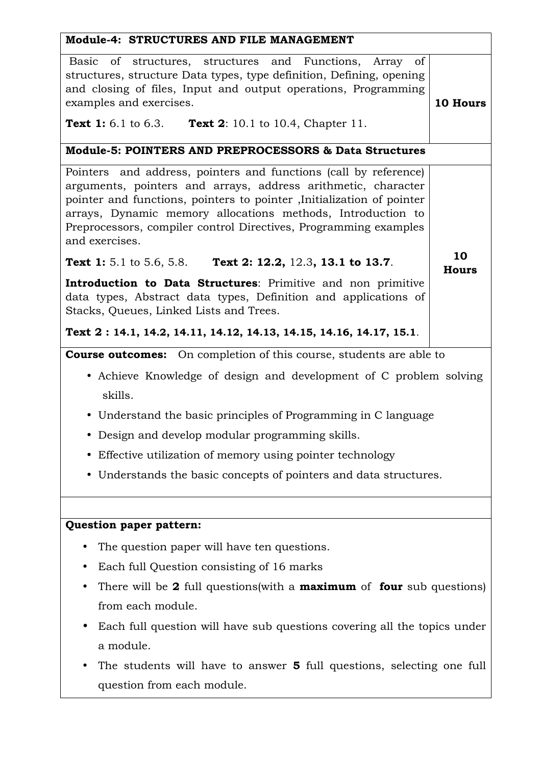| Module-4: STRUCTURES AND FILE MANAGEMENT                                                                                                                                                                                                                                                                                                                         |                    |  |  |
|------------------------------------------------------------------------------------------------------------------------------------------------------------------------------------------------------------------------------------------------------------------------------------------------------------------------------------------------------------------|--------------------|--|--|
| Basic of structures, structures and Functions, Array of<br>structures, structure Data types, type definition, Defining, opening<br>and closing of files, Input and output operations, Programming<br>examples and exercises.<br><b>Text 1:</b> 6.1 to 6.3.<br><b>Text 2:</b> 10.1 to 10.4, Chapter 11.                                                           | 10 Hours           |  |  |
| Module-5: POINTERS AND PREPROCESSORS & Data Structures                                                                                                                                                                                                                                                                                                           |                    |  |  |
| Pointers and address, pointers and functions (call by reference)<br>arguments, pointers and arrays, address arithmetic, character<br>pointer and functions, pointers to pointer , Initialization of pointer<br>arrays, Dynamic memory allocations methods, Introduction to<br>Preprocessors, compiler control Directives, Programming examples<br>and exercises. |                    |  |  |
| Text 2: 12.2, 12.3, 13.1 to 13.7.<br><b>Text 1:</b> 5.1 to 5.6, 5.8.                                                                                                                                                                                                                                                                                             | 10<br><b>Hours</b> |  |  |
| Introduction to Data Structures: Primitive and non primitive<br>data types, Abstract data types, Definition and applications of<br>Stacks, Queues, Linked Lists and Trees.<br>Text 2: 14.1, 14.2, 14.11, 14.12, 14.13, 14.15, 14.16, 14.17, 15.1.                                                                                                                |                    |  |  |
| <b>Course outcomes:</b> On completion of this course, students are able to                                                                                                                                                                                                                                                                                       |                    |  |  |
| • Achieve Knowledge of design and development of C problem solving<br>skills.                                                                                                                                                                                                                                                                                    |                    |  |  |
| • Understand the basic principles of Programming in C language                                                                                                                                                                                                                                                                                                   |                    |  |  |
| • Design and develop modular programming skills.                                                                                                                                                                                                                                                                                                                 |                    |  |  |
| Effective utilization of memory using pointer technology                                                                                                                                                                                                                                                                                                         |                    |  |  |
| • Understands the basic concepts of pointers and data structures.                                                                                                                                                                                                                                                                                                |                    |  |  |
|                                                                                                                                                                                                                                                                                                                                                                  |                    |  |  |
| <b>Question paper pattern:</b>                                                                                                                                                                                                                                                                                                                                   |                    |  |  |
| The question paper will have ten questions.                                                                                                                                                                                                                                                                                                                      |                    |  |  |
| Each full Question consisting of 16 marks                                                                                                                                                                                                                                                                                                                        |                    |  |  |
| There will be 2 full questions (with a <b>maximum</b> of <b>four</b> sub questions)<br>from each module.                                                                                                                                                                                                                                                         |                    |  |  |
| Each full question will have sub questions covering all the topics under                                                                                                                                                                                                                                                                                         |                    |  |  |

• The students will have to answer **5** full questions, selecting one full question from each module.

a module.